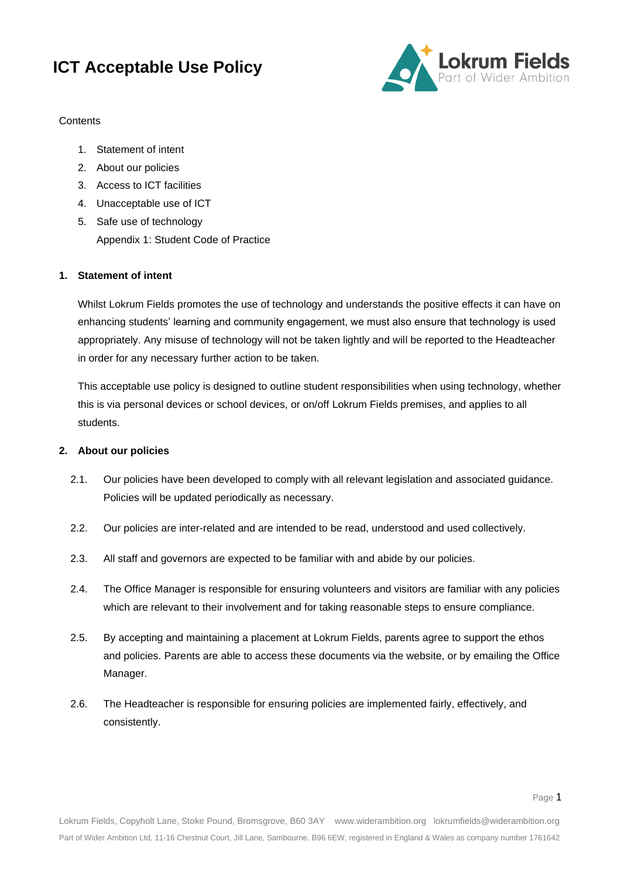

### **Contents**

- 1. Statement of intent
- 2. About our policies
- 3. Access to ICT facilities
- 4. Unacceptable use of ICT
- 5. Safe use of technology Appendix 1: Student Code of Practice

### **1. Statement of intent**

Whilst Lokrum Fields promotes the use of technology and understands the positive effects it can have on enhancing students' learning and community engagement, we must also ensure that technology is used appropriately. Any misuse of technology will not be taken lightly and will be reported to the Headteacher in order for any necessary further action to be taken.

This acceptable use policy is designed to outline student responsibilities when using technology, whether this is via personal devices or school devices, or on/off Lokrum Fields premises, and applies to all students.

### **2. About our policies**

- 2.1. Our policies have been developed to comply with all relevant legislation and associated guidance. Policies will be updated periodically as necessary.
- 2.2. Our policies are inter-related and are intended to be read, understood and used collectively.
- 2.3. All staff and governors are expected to be familiar with and abide by our policies.
- 2.4. The Office Manager is responsible for ensuring volunteers and visitors are familiar with any policies which are relevant to their involvement and for taking reasonable steps to ensure compliance.
- 2.5. By accepting and maintaining a placement at Lokrum Fields, parents agree to support the ethos and policies. Parents are able to access these documents via the website, or by emailing the Office Manager.
- 2.6. The Headteacher is responsible for ensuring policies are implemented fairly, effectively, and consistently.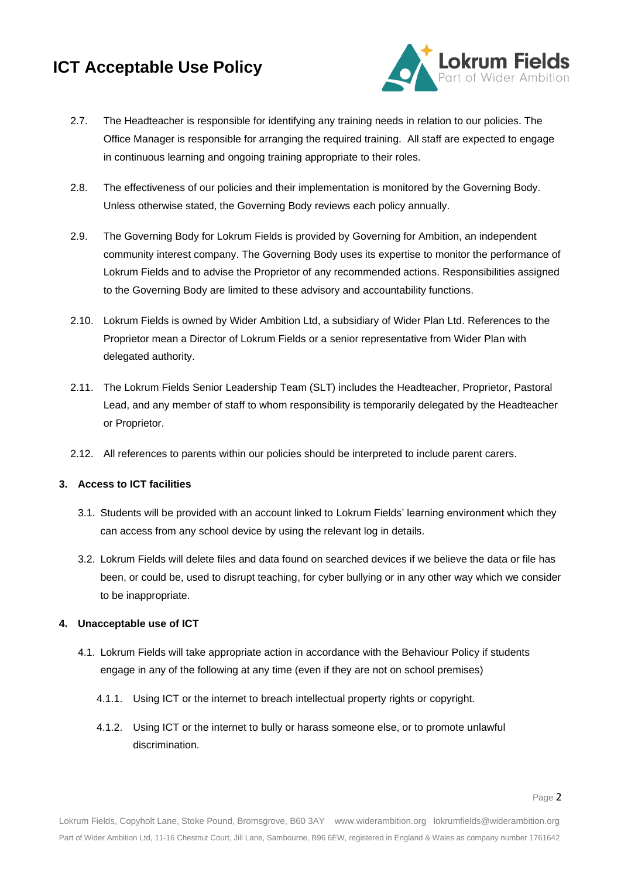

- 2.7. The Headteacher is responsible for identifying any training needs in relation to our policies. The Office Manager is responsible for arranging the required training. All staff are expected to engage in continuous learning and ongoing training appropriate to their roles.
- 2.8. The effectiveness of our policies and their implementation is monitored by the Governing Body. Unless otherwise stated, the Governing Body reviews each policy annually.
- 2.9. The Governing Body for Lokrum Fields is provided by Governing for Ambition, an independent community interest company. The Governing Body uses its expertise to monitor the performance of Lokrum Fields and to advise the Proprietor of any recommended actions. Responsibilities assigned to the Governing Body are limited to these advisory and accountability functions.
- 2.10. Lokrum Fields is owned by Wider Ambition Ltd, a subsidiary of Wider Plan Ltd. References to the Proprietor mean a Director of Lokrum Fields or a senior representative from Wider Plan with delegated authority.
- 2.11. The Lokrum Fields Senior Leadership Team (SLT) includes the Headteacher, Proprietor, Pastoral Lead, and any member of staff to whom responsibility is temporarily delegated by the Headteacher or Proprietor.
- 2.12. All references to parents within our policies should be interpreted to include parent carers.

### **3. Access to ICT facilities**

- 3.1. Students will be provided with an account linked to Lokrum Fields' learning environment which they can access from any school device by using the relevant log in details.
- 3.2. Lokrum Fields will delete files and data found on searched devices if we believe the data or file has been, or could be, used to disrupt teaching, for cyber bullying or in any other way which we consider to be inappropriate.

### **4. Unacceptable use of ICT**

- 4.1. Lokrum Fields will take appropriate action in accordance with the Behaviour Policy if students engage in any of the following at any time (even if they are not on school premises)
	- 4.1.1. Using ICT or the internet to breach intellectual property rights or copyright.
	- 4.1.2. Using ICT or the internet to bully or harass someone else, or to promote unlawful discrimination.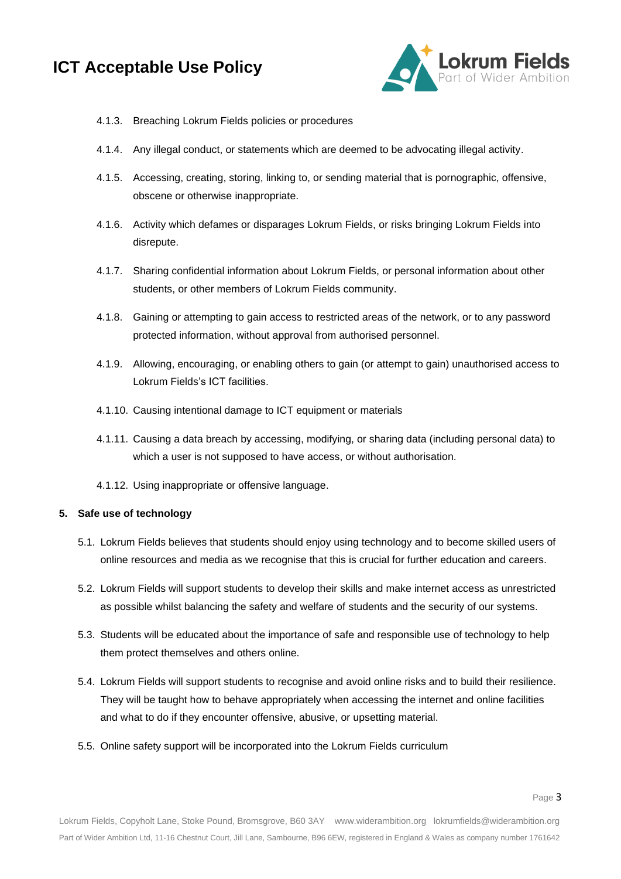

- 4.1.3. Breaching Lokrum Fields policies or procedures
- 4.1.4. Any illegal conduct, or statements which are deemed to be advocating illegal activity.
- 4.1.5. Accessing, creating, storing, linking to, or sending material that is pornographic, offensive, obscene or otherwise inappropriate.
- 4.1.6. Activity which defames or disparages Lokrum Fields, or risks bringing Lokrum Fields into disrepute.
- 4.1.7. Sharing confidential information about Lokrum Fields, or personal information about other students, or other members of Lokrum Fields community.
- 4.1.8. Gaining or attempting to gain access to restricted areas of the network, or to any password protected information, without approval from authorised personnel.
- 4.1.9. Allowing, encouraging, or enabling others to gain (or attempt to gain) unauthorised access to Lokrum Fields's ICT facilities.
- 4.1.10. Causing intentional damage to ICT equipment or materials
- 4.1.11. Causing a data breach by accessing, modifying, or sharing data (including personal data) to which a user is not supposed to have access, or without authorisation.
- 4.1.12. Using inappropriate or offensive language.

#### **5. Safe use of technology**

- 5.1. Lokrum Fields believes that students should enjoy using technology and to become skilled users of online resources and media as we recognise that this is crucial for further education and careers.
- 5.2. Lokrum Fields will support students to develop their skills and make internet access as unrestricted as possible whilst balancing the safety and welfare of students and the security of our systems.
- 5.3. Students will be educated about the importance of safe and responsible use of technology to help them protect themselves and others online.
- 5.4. Lokrum Fields will support students to recognise and avoid online risks and to build their resilience. They will be taught how to behave appropriately when accessing the internet and online facilities and what to do if they encounter offensive, abusive, or upsetting material.
- 5.5. Online safety support will be incorporated into the Lokrum Fields curriculum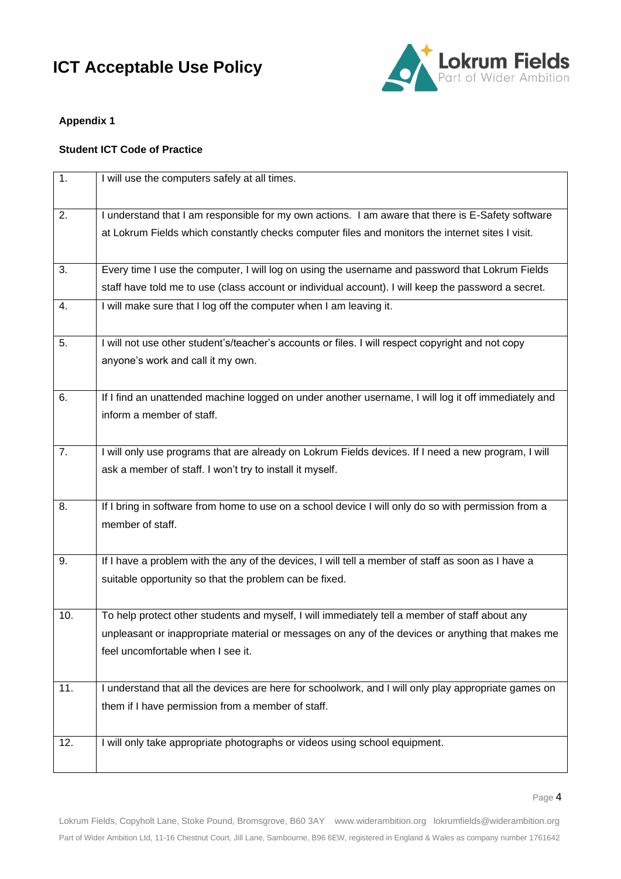

### **Appendix 1**

### **Student ICT Code of Practice**

| $\overline{1}$ . | I will use the computers safely at all times.                                                                                                                |
|------------------|--------------------------------------------------------------------------------------------------------------------------------------------------------------|
| 2.               | I understand that I am responsible for my own actions. I am aware that there is E-Safety software                                                            |
|                  | at Lokrum Fields which constantly checks computer files and monitors the internet sites I visit.                                                             |
|                  |                                                                                                                                                              |
| 3.               | Every time I use the computer, I will log on using the username and password that Lokrum Fields                                                              |
|                  | staff have told me to use (class account or individual account). I will keep the password a secret.                                                          |
| 4.               | I will make sure that I log off the computer when I am leaving it.                                                                                           |
|                  |                                                                                                                                                              |
| 5.               | I will not use other student's/teacher's accounts or files. I will respect copyright and not copy                                                            |
|                  | anyone's work and call it my own.                                                                                                                            |
|                  |                                                                                                                                                              |
| 6.               | If I find an unattended machine logged on under another username, I will log it off immediately and                                                          |
|                  | inform a member of staff.                                                                                                                                    |
|                  |                                                                                                                                                              |
| 7.               | I will only use programs that are already on Lokrum Fields devices. If I need a new program, I will                                                          |
|                  | ask a member of staff. I won't try to install it myself.                                                                                                     |
|                  |                                                                                                                                                              |
| 8.               | If I bring in software from home to use on a school device I will only do so with permission from a                                                          |
|                  | member of staff.                                                                                                                                             |
|                  |                                                                                                                                                              |
| 9.               | If I have a problem with the any of the devices, I will tell a member of staff as soon as I have a<br>suitable opportunity so that the problem can be fixed. |
|                  |                                                                                                                                                              |
| 10.              | To help protect other students and myself, I will immediately tell a member of staff about any                                                               |
|                  | unpleasant or inappropriate material or messages on any of the devices or anything that makes me                                                             |
|                  | feel uncomfortable when I see it.                                                                                                                            |
|                  |                                                                                                                                                              |
| 11.              | I understand that all the devices are here for schoolwork, and I will only play appropriate games on                                                         |
|                  | them if I have permission from a member of staff.                                                                                                            |
|                  |                                                                                                                                                              |
| 12.              | I will only take appropriate photographs or videos using school equipment.                                                                                   |
|                  |                                                                                                                                                              |